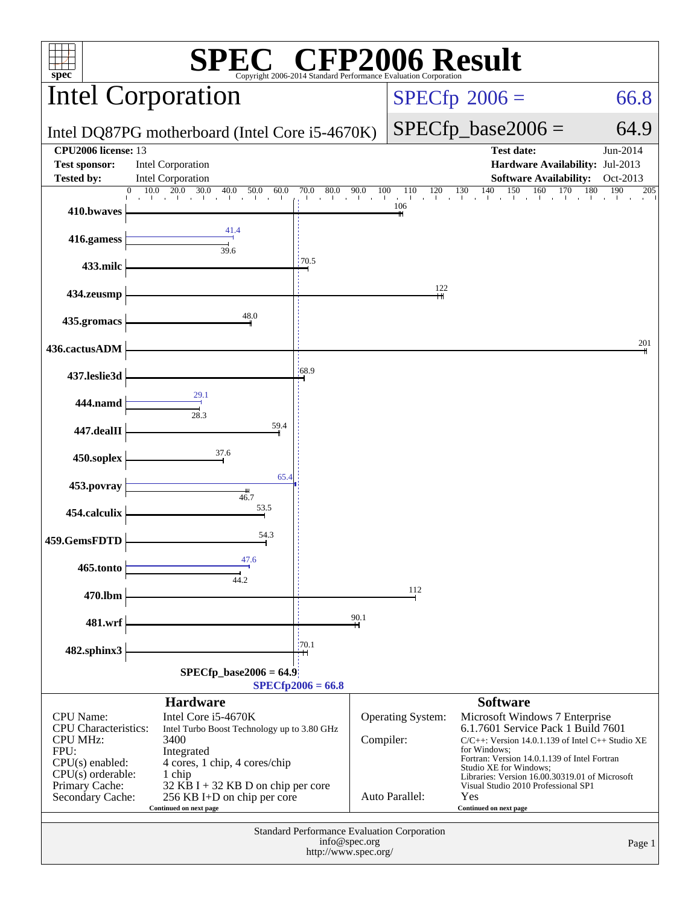| FP2006 Result<br>$spec^*$<br>Copyright 2006-2014 Standard Performance Evaluation Corporation                           |                                                                                                                                     |                                                                               |                                                    |                                                                                                                                                                                                                         |                   |  |
|------------------------------------------------------------------------------------------------------------------------|-------------------------------------------------------------------------------------------------------------------------------------|-------------------------------------------------------------------------------|----------------------------------------------------|-------------------------------------------------------------------------------------------------------------------------------------------------------------------------------------------------------------------------|-------------------|--|
|                                                                                                                        | <b>Intel Corporation</b>                                                                                                            |                                                                               | $SPECfp^{\circ}2006 =$<br>66.8                     |                                                                                                                                                                                                                         |                   |  |
|                                                                                                                        | Intel DQ87PG motherboard (Intel Core i5-4670K)                                                                                      |                                                                               |                                                    | $SPECfp\_base2006 =$                                                                                                                                                                                                    | 64.9              |  |
| <b>CPU2006</b> license: 13                                                                                             |                                                                                                                                     |                                                                               |                                                    | <b>Test date:</b>                                                                                                                                                                                                       | Jun-2014          |  |
| <b>Test sponsor:</b><br><b>Tested by:</b>                                                                              | <b>Intel Corporation</b><br><b>Intel Corporation</b>                                                                                |                                                                               |                                                    | Hardware Availability: Jul-2013<br><b>Software Availability:</b>                                                                                                                                                        | Oct-2013          |  |
|                                                                                                                        | 10.0<br>20.0<br>30.0<br>40.0<br>50.0<br>60.0                                                                                        | $\overline{80.0}$<br>90.0<br>70.0<br>al car<br>$\sim 10^{-1}$<br><b>Table</b> | 100<br>120<br>110<br>$\sim$<br><b>The Contract</b> | 150<br>130<br>140<br>160<br>170<br>all the con-<br>all control<br>$\blacksquare$                                                                                                                                        | 190<br>180<br>205 |  |
| 410.bwaves                                                                                                             |                                                                                                                                     |                                                                               | 106                                                |                                                                                                                                                                                                                         |                   |  |
| 416.gamess                                                                                                             | 41.4<br>39.6                                                                                                                        |                                                                               |                                                    |                                                                                                                                                                                                                         |                   |  |
| 433.milc                                                                                                               |                                                                                                                                     | 170.5                                                                         |                                                    |                                                                                                                                                                                                                         |                   |  |
| 434.zeusmp                                                                                                             |                                                                                                                                     |                                                                               | 122                                                |                                                                                                                                                                                                                         |                   |  |
| 435.gromacs                                                                                                            | 48.0                                                                                                                                |                                                                               |                                                    |                                                                                                                                                                                                                         |                   |  |
| 436.cactusADM                                                                                                          |                                                                                                                                     |                                                                               |                                                    |                                                                                                                                                                                                                         | 201               |  |
| 437.leslie3d                                                                                                           |                                                                                                                                     | $-68.9$                                                                       |                                                    |                                                                                                                                                                                                                         |                   |  |
| 444.namd                                                                                                               | 29.1                                                                                                                                |                                                                               |                                                    |                                                                                                                                                                                                                         |                   |  |
| 447.dealII                                                                                                             | 28.3<br>59.4                                                                                                                        |                                                                               |                                                    |                                                                                                                                                                                                                         |                   |  |
| 450.soplex                                                                                                             | 37.6                                                                                                                                |                                                                               |                                                    |                                                                                                                                                                                                                         |                   |  |
| 453.povray                                                                                                             | 65.4<br>$\frac{1}{46.7}$                                                                                                            |                                                                               |                                                    |                                                                                                                                                                                                                         |                   |  |
| 454.calculix                                                                                                           | 53.5                                                                                                                                |                                                                               |                                                    |                                                                                                                                                                                                                         |                   |  |
| 459.GemsFDTD                                                                                                           | 54.3                                                                                                                                |                                                                               |                                                    |                                                                                                                                                                                                                         |                   |  |
| 465.tonto                                                                                                              | 47.6                                                                                                                                |                                                                               |                                                    |                                                                                                                                                                                                                         |                   |  |
| 470.lbm                                                                                                                | 44.2                                                                                                                                |                                                                               | 112                                                |                                                                                                                                                                                                                         |                   |  |
| 481.wrf                                                                                                                |                                                                                                                                     | 90.1                                                                          |                                                    |                                                                                                                                                                                                                         |                   |  |
| 482.sphinx3                                                                                                            |                                                                                                                                     | 170.1                                                                         |                                                    |                                                                                                                                                                                                                         |                   |  |
|                                                                                                                        | $SPECfp\_base2006 = 64.9$                                                                                                           | $SPECfp2006 = 66.8$                                                           |                                                    |                                                                                                                                                                                                                         |                   |  |
|                                                                                                                        | <b>Hardware</b>                                                                                                                     |                                                                               |                                                    | <b>Software</b>                                                                                                                                                                                                         |                   |  |
| <b>CPU</b> Name:<br><b>CPU</b> Characteristics:<br><b>CPU MHz:</b><br>FPU:<br>$CPU(s)$ enabled:<br>$CPU(s)$ orderable: | Intel Core i5-4670K<br>Intel Turbo Boost Technology up to 3.80 GHz<br>3400<br>Integrated<br>4 cores, 1 chip, 4 cores/chip<br>1 chip |                                                                               | Operating System:<br>Compiler:                     | Microsoft Windows 7 Enterprise<br>6.1.7601 Service Pack 1 Build 7601<br>$C/C++$ : Version 14.0.1.139 of Intel $C++$ Studio XE<br>for Windows:<br>Fortran: Version 14.0.1.139 of Intel Fortran<br>Studio XE for Windows; |                   |  |
| Primary Cache:<br>Secondary Cache:                                                                                     | 32 KB I + 32 KB D on chip per core<br>256 KB I+D on chip per core<br>Continued on next page                                         |                                                                               | Auto Parallel:                                     | Libraries: Version 16.00.30319.01 of Microsoft<br>Visual Studio 2010 Professional SP1<br>Yes<br>Continued on next page                                                                                                  |                   |  |
| Standard Performance Evaluation Corporation<br>info@spec.org<br>Page 1<br>http://www.spec.org/                         |                                                                                                                                     |                                                                               |                                                    |                                                                                                                                                                                                                         |                   |  |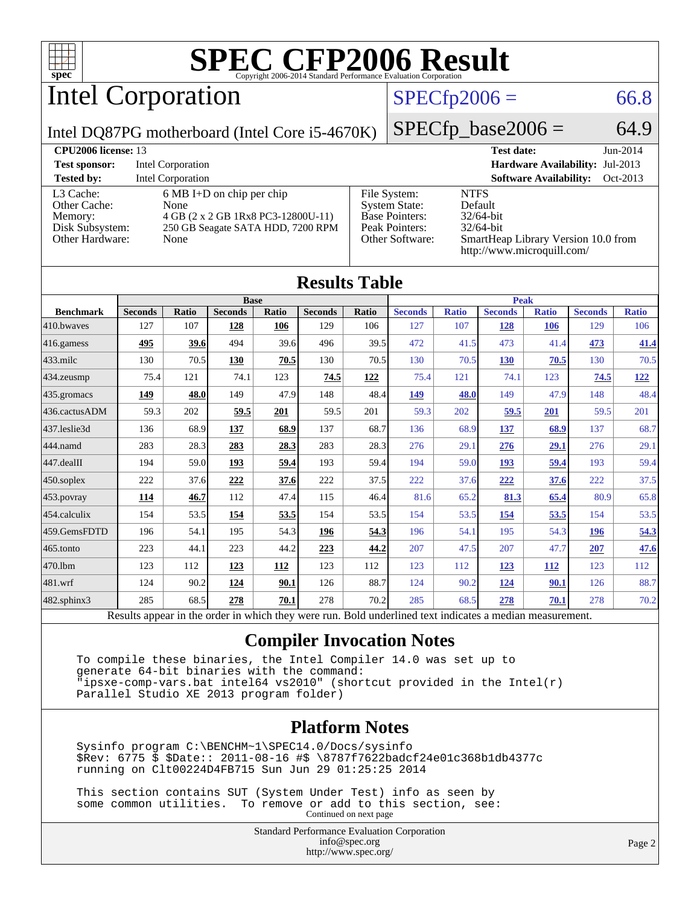

Intel Corporation

#### $SPECTp2006 = 66.8$

Intel DQ87PG motherboard (Intel Core i5-4670K)

 $SPECfp\_base2006 = 64.9$ 

| <b>CPU<sub>2006</sub></b> license: 13                                      |                                                                                                                                |                                                                                                    | <b>Test date:</b><br>$Jun-2014$                                                                                             |
|----------------------------------------------------------------------------|--------------------------------------------------------------------------------------------------------------------------------|----------------------------------------------------------------------------------------------------|-----------------------------------------------------------------------------------------------------------------------------|
| <b>Test sponsor:</b>                                                       | Intel Corporation                                                                                                              |                                                                                                    | Hardware Availability: Jul-2013                                                                                             |
| <b>Tested by:</b>                                                          | <b>Intel Corporation</b>                                                                                                       |                                                                                                    | <b>Software Availability:</b><br>Oct-2013                                                                                   |
| L3 Cache:<br>Other Cache:<br>Memory:<br>Disk Subsystem:<br>Other Hardware: | $6 \text{ MB I+D}$ on chip per chip<br>None<br>4 GB (2 x 2 GB 1Rx8 PC3-12800U-11)<br>250 GB Seagate SATA HDD, 7200 RPM<br>None | File System:<br><b>System State:</b><br><b>Base Pointers:</b><br>Peak Pointers:<br>Other Software: | <b>NTFS</b><br>Default<br>$32/64$ -bit<br>$32/64$ -bit<br>SmartHeap Library Version 10.0 from<br>http://www.microquill.com/ |

| <b>Results Table</b>   |                |              |                |              |                |              |                |              |                |              |                |              |
|------------------------|----------------|--------------|----------------|--------------|----------------|--------------|----------------|--------------|----------------|--------------|----------------|--------------|
| <b>Base</b>            |                |              |                |              |                | <b>Peak</b>  |                |              |                |              |                |              |
| <b>Benchmark</b>       | <b>Seconds</b> | <b>Ratio</b> | <b>Seconds</b> | <b>Ratio</b> | <b>Seconds</b> | <b>Ratio</b> | <b>Seconds</b> | <b>Ratio</b> | <b>Seconds</b> | <b>Ratio</b> | <b>Seconds</b> | <b>Ratio</b> |
| 410.bwayes             | 127            | 107          | 128            | 106          | 129            | 106          | 127            | 107          | 128            | 106          | 129            | 106          |
| 416.gamess             | 495            | 39.6         | 494            | 39.6         | 496            | 39.5         | 472            | 41.5         | 473            | 41.4         | 473            | 41.4         |
| $433$ .milc            | 130            | 70.5         | 130            | 70.5         | 130            | 70.5         | 130            | 70.5         | <b>130</b>     | 70.5         | 130            | 70.5         |
| $ 434$ . zeusmp        | 75.4           | 121          | 74.1           | 123          | 74.5           | <u>122</u>   | 75.4           | 121          | 74.1           | 123          | 74.5           | <u>122</u>   |
| $435.$ gromacs         | 149            | 48.0         | 149            | 47.9         | 148            | 48.4         | 149            | 48.0         | 149            | 47.9         | 148            | 48.4         |
| 436.cactusADM          | 59.3           | 202          | 59.5           | 201          | 59.5           | 201          | 59.3           | 202          | 59.5           | 201          | 59.5           | 201          |
| 437.leslie3d           | 136            | 68.9         | 137            | 68.9         | 137            | 68.7         | 136            | 68.9         | <u>137</u>     | 68.9         | 137            | 68.7         |
| 444.namd               | 283            | 28.3         | 283            | 28.3         | 283            | 28.3         | 276            | 29.1         | 276            | 29.1         | 276            | 29.1         |
| $ 447 \text{.}$ dealII | 194            | 59.0         | 193            | 59.4         | 193            | 59.4         | 194            | 59.0         | 193            | 59.4         | 193            | 59.4         |
| $450$ .soplex          | 222            | 37.6         | 222            | 37.6         | 222            | 37.5         | 222            | 37.6         | 222            | 37.6         | 222            | 37.5         |
| $453$ .povray          | 114            | 46.7         | 112            | 47.4         | 115            | 46.4         | 81.6           | 65.2         | 81.3           | 65.4         | 80.9           | 65.8         |
| $454$ .calculix        | 154            | 53.5         | 154            | 53.5         | 154            | 53.5         | 154            | 53.5         | 154            | 53.5         | 154            | 53.5         |
| 459.GemsFDTD           | 196            | 54.1         | 195            | 54.3         | 196            | 54.3         | 196            | 54.1         | 195            | 54.3         | <b>196</b>     | 54.3         |
| 465.tonto              | 223            | 44.1         | 223            | 44.2         | 223            | 44.2         | 207            | 47.5         | 207            | 47.7         | 207            | 47.6         |
| 470.1bm                | 123            | 112          | 123            | 112          | 123            | 112          | 123            | 112          | <u>123</u>     | <u>112</u>   | 123            | 112          |
| $ 481$ .wrf            | 124            | 90.2         | <u>124</u>     | 90.1         | 126            | 88.7         | 124            | 90.2         | <u>124</u>     | 90.1         | 126            | 88.7         |
| $482$ .sphinx $3$      | 285            | 68.5         | 278            | 70.1         | 278            | 70.2         | 285            | 68.5         | 278            | 70.1         | 278            | 70.2         |

Results appear in the [order in which they were run.](http://www.spec.org/auto/cpu2006/Docs/result-fields.html#RunOrder) Bold underlined text [indicates a median measurement.](http://www.spec.org/auto/cpu2006/Docs/result-fields.html#Median)

#### **[Compiler Invocation Notes](http://www.spec.org/auto/cpu2006/Docs/result-fields.html#CompilerInvocationNotes)**

 To compile these binaries, the Intel Compiler 14.0 was set up to generate 64-bit binaries with the command: "ipsxe-comp-vars.bat intel64 vs2010" (shortcut provided in the Intel(r) Parallel Studio XE 2013 program folder)

#### **[Platform Notes](http://www.spec.org/auto/cpu2006/Docs/result-fields.html#PlatformNotes)**

 Sysinfo program C:\BENCHM~1\SPEC14.0/Docs/sysinfo \$Rev: 6775 \$ \$Date:: 2011-08-16 #\$ \8787f7622badcf24e01c368b1db4377c running on Clt00224D4FB715 Sun Jun 29 01:25:25 2014

 This section contains SUT (System Under Test) info as seen by some common utilities. To remove or add to this section, see: Continued on next page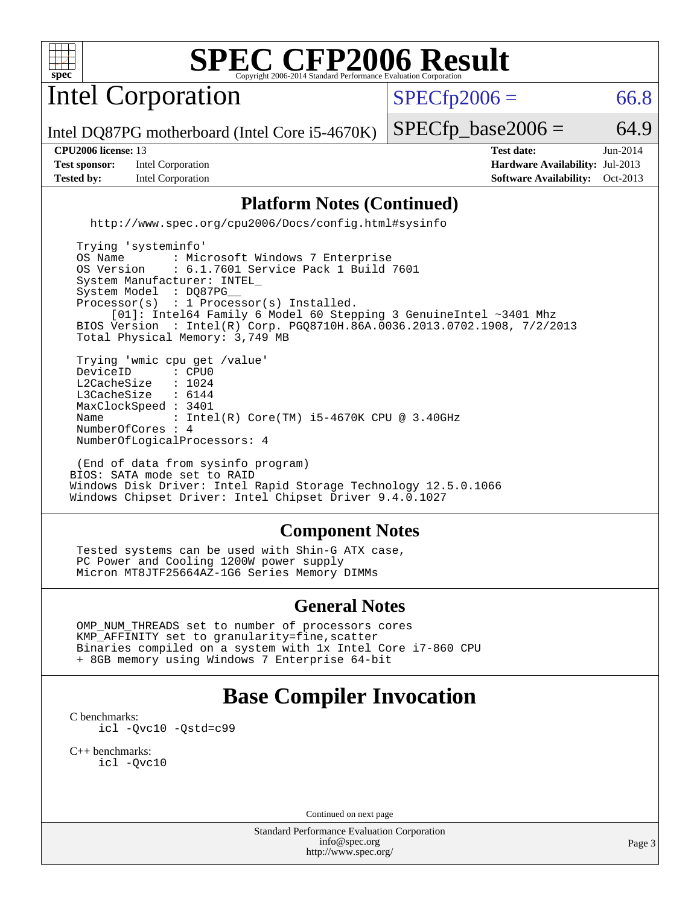

Intel Corporation

 $SPECTp2006 = 66.8$ 

Intel DQ87PG motherboard (Intel Core i5-4670K)

**[Test sponsor:](http://www.spec.org/auto/cpu2006/Docs/result-fields.html#Testsponsor)** Intel Corporation **[Hardware Availability:](http://www.spec.org/auto/cpu2006/Docs/result-fields.html#HardwareAvailability)** Jul-2013

 $SPECTp\_base2006 = 64.9$ 

**[CPU2006 license:](http://www.spec.org/auto/cpu2006/Docs/result-fields.html#CPU2006license)** 13 **[Test date:](http://www.spec.org/auto/cpu2006/Docs/result-fields.html#Testdate)** Jun-2014 **[Tested by:](http://www.spec.org/auto/cpu2006/Docs/result-fields.html#Testedby)** Intel Corporation **[Software Availability:](http://www.spec.org/auto/cpu2006/Docs/result-fields.html#SoftwareAvailability)** Oct-2013

#### **[Platform Notes \(Continued\)](http://www.spec.org/auto/cpu2006/Docs/result-fields.html#PlatformNotes)**

<http://www.spec.org/cpu2006/Docs/config.html#sysinfo>

 Trying 'systeminfo' OS Name : Microsoft Windows 7 Enterprise<br>OS Version : 6.1.7601 Service Pack 1 Build : 6.1.7601 Service Pack 1 Build 7601 System Manufacturer: INTEL\_ System Model : DQ87PG Processor(s) : 1 Processor(s) Installed. [01]: Intel64 Family 6 Model 60 Stepping 3 GenuineIntel ~3401 Mhz BIOS Version : Intel(R) Corp. PGQ8710H.86A.0036.2013.0702.1908, 7/2/2013 Total Physical Memory: 3,749 MB Trying 'wmic cpu get /value' DeviceID : CPU0<br>L2CacheSize : 1024 L2CacheSize : 1024<br>L3CacheSize : 6144 L3CacheSize MaxClockSpeed : 3401 Name : Intel(R) Core(TM) i5-4670K CPU @ 3.40GHz NumberOfCores : 4 NumberOfLogicalProcessors: 4

 (End of data from sysinfo program) BIOS: SATA mode set to RAID Windows Disk Driver: Intel Rapid Storage Technology 12.5.0.1066 Windows Chipset Driver: Intel Chipset Driver 9.4.0.1027

#### **[Component Notes](http://www.spec.org/auto/cpu2006/Docs/result-fields.html#ComponentNotes)**

 Tested systems can be used with Shin-G ATX case, PC Power and Cooling 1200W power supply Micron MT8JTF25664AZ-1G6 Series Memory DIMMs

#### **[General Notes](http://www.spec.org/auto/cpu2006/Docs/result-fields.html#GeneralNotes)**

 OMP\_NUM\_THREADS set to number of processors cores KMP\_AFFINITY set to granularity=fine,scatter Binaries compiled on a system with 1x Intel Core i7-860 CPU + 8GB memory using Windows 7 Enterprise 64-bit

## **[Base Compiler Invocation](http://www.spec.org/auto/cpu2006/Docs/result-fields.html#BaseCompilerInvocation)**

[C benchmarks](http://www.spec.org/auto/cpu2006/Docs/result-fields.html#Cbenchmarks): [icl -Qvc10](http://www.spec.org/cpu2006/results/res2014q3/cpu2006-20140630-30126.flags.html#user_CCbase_intel_icc_vc10_9607f3ecbcdf68042245f068e51b40c1) [-Qstd=c99](http://www.spec.org/cpu2006/results/res2014q3/cpu2006-20140630-30126.flags.html#user_CCbase_intel_compiler_c99_mode_1a3d110e3041b3ad4466830521bdad2a)

[C++ benchmarks:](http://www.spec.org/auto/cpu2006/Docs/result-fields.html#CXXbenchmarks) [icl -Qvc10](http://www.spec.org/cpu2006/results/res2014q3/cpu2006-20140630-30126.flags.html#user_CXXbase_intel_icc_vc10_9607f3ecbcdf68042245f068e51b40c1)

Continued on next page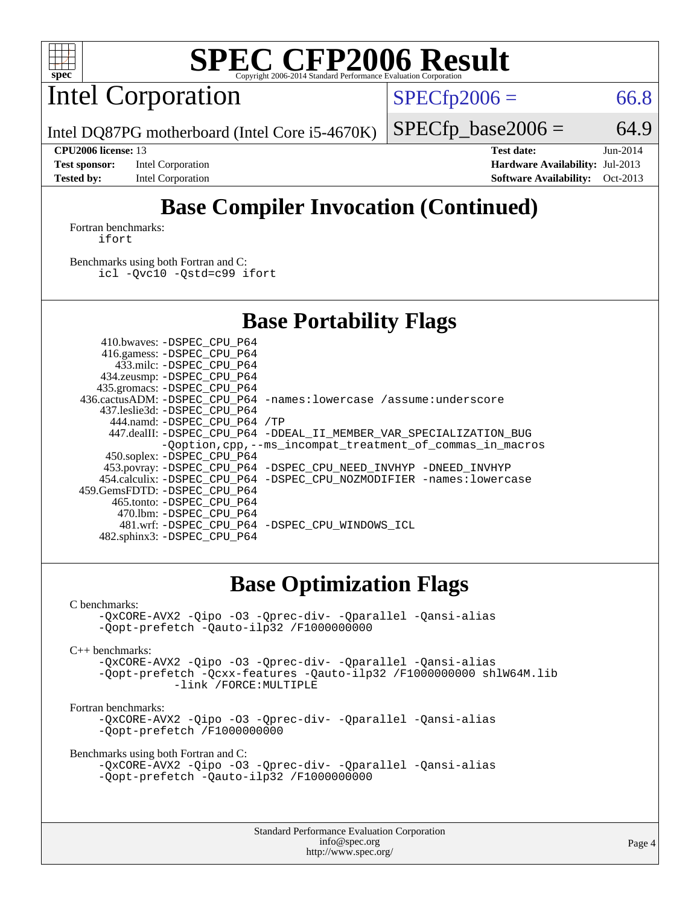

Intel Corporation

 $SPECTp2006 = 66.8$ 

Intel DQ87PG motherboard (Intel Core i5-4670K)

 $SPECfp\_base2006 = 64.9$ **[CPU2006 license:](http://www.spec.org/auto/cpu2006/Docs/result-fields.html#CPU2006license)** 13 **[Test date:](http://www.spec.org/auto/cpu2006/Docs/result-fields.html#Testdate)** Jun-2014

**[Test sponsor:](http://www.spec.org/auto/cpu2006/Docs/result-fields.html#Testsponsor)** Intel Corporation **[Hardware Availability:](http://www.spec.org/auto/cpu2006/Docs/result-fields.html#HardwareAvailability)** Jul-2013 **[Tested by:](http://www.spec.org/auto/cpu2006/Docs/result-fields.html#Testedby)** Intel Corporation **[Software Availability:](http://www.spec.org/auto/cpu2006/Docs/result-fields.html#SoftwareAvailability)** Oct-2013

# **[Base Compiler Invocation \(Continued\)](http://www.spec.org/auto/cpu2006/Docs/result-fields.html#BaseCompilerInvocation)**

[Fortran benchmarks](http://www.spec.org/auto/cpu2006/Docs/result-fields.html#Fortranbenchmarks): [ifort](http://www.spec.org/cpu2006/results/res2014q3/cpu2006-20140630-30126.flags.html#user_FCbase_intel_ifort_8a5e5e06b19a251bdeaf8fdab5d62f20)

[Benchmarks using both Fortran and C](http://www.spec.org/auto/cpu2006/Docs/result-fields.html#BenchmarksusingbothFortranandC): [icl -Qvc10](http://www.spec.org/cpu2006/results/res2014q3/cpu2006-20140630-30126.flags.html#user_CC_FCbase_intel_icc_vc10_9607f3ecbcdf68042245f068e51b40c1) [-Qstd=c99](http://www.spec.org/cpu2006/results/res2014q3/cpu2006-20140630-30126.flags.html#user_CC_FCbase_intel_compiler_c99_mode_1a3d110e3041b3ad4466830521bdad2a) [ifort](http://www.spec.org/cpu2006/results/res2014q3/cpu2006-20140630-30126.flags.html#user_CC_FCbase_intel_ifort_8a5e5e06b19a251bdeaf8fdab5d62f20)

## **[Base Portability Flags](http://www.spec.org/auto/cpu2006/Docs/result-fields.html#BasePortabilityFlags)**

| 410.bwaves: -DSPEC CPU P64   |                                                                                        |
|------------------------------|----------------------------------------------------------------------------------------|
| 416.gamess: -DSPEC_CPU_P64   |                                                                                        |
| 433.milc: -DSPEC CPU P64     |                                                                                        |
| 434.zeusmp: - DSPEC_CPU_P64  |                                                                                        |
| 435.gromacs: -DSPEC CPU P64  |                                                                                        |
|                              | 436.cactusADM: -DSPEC CPU P64 -names: lowercase /assume: underscore                    |
| 437.leslie3d: -DSPEC CPU P64 |                                                                                        |
| 444.namd: -DSPEC CPU P64 /TP |                                                                                        |
|                              | 447.dealII: -DSPEC CPU_P64 -DDEAL_II_MEMBER_VAR_SPECIALIZATION_BUG                     |
|                              | -Ooption, cpp, --ms incompat treatment of commas in macros                             |
| 450.soplex: -DSPEC_CPU_P64   |                                                                                        |
|                              | 453.povray: -DSPEC_CPU_P64 -DSPEC_CPU_NEED_INVHYP -DNEED_INVHYP                        |
|                              | 454.calculix: -DSPEC CPU P64 -DSPEC CPU NOZMODIFIER -names: lowercase                  |
|                              |                                                                                        |
| 465.tonto: -DSPEC CPU P64    |                                                                                        |
|                              |                                                                                        |
|                              | 481.wrf: - DSPEC CPU P64 - DSPEC CPU WINDOWS ICL                                       |
|                              |                                                                                        |
|                              | 459.GemsFDTD: -DSPEC CPU P64<br>470.1bm: -DSPEC CPU P64<br>482.sphinx3: -DSPEC_CPU_P64 |

### **[Base Optimization Flags](http://www.spec.org/auto/cpu2006/Docs/result-fields.html#BaseOptimizationFlags)**

#### [C benchmarks](http://www.spec.org/auto/cpu2006/Docs/result-fields.html#Cbenchmarks):

```
-QxCORE-AVX2 -Qipo -O3 -Qprec-div- -Qparallel -Qansi-alias
-Qopt-prefetch -Qauto-ilp32 /F1000000000
```
[C++ benchmarks:](http://www.spec.org/auto/cpu2006/Docs/result-fields.html#CXXbenchmarks)

[-QxCORE-AVX2](http://www.spec.org/cpu2006/results/res2014q3/cpu2006-20140630-30126.flags.html#user_CXXbase_f-QxAVX2_f98716b5f9e905f99c943c56f21bf430) [-Qipo](http://www.spec.org/cpu2006/results/res2014q3/cpu2006-20140630-30126.flags.html#user_CXXbase_f-Qipo) [-O3](http://www.spec.org/cpu2006/results/res2014q3/cpu2006-20140630-30126.flags.html#user_CXXbase_f-O3) [-Qprec-div-](http://www.spec.org/cpu2006/results/res2014q3/cpu2006-20140630-30126.flags.html#user_CXXbase_f-Qprec-div-) [-Qparallel](http://www.spec.org/cpu2006/results/res2014q3/cpu2006-20140630-30126.flags.html#user_CXXbase_f-Qparallel) [-Qansi-alias](http://www.spec.org/cpu2006/results/res2014q3/cpu2006-20140630-30126.flags.html#user_CXXbase_f-Qansi-alias) [-Qopt-prefetch](http://www.spec.org/cpu2006/results/res2014q3/cpu2006-20140630-30126.flags.html#user_CXXbase_f-Qprefetch_37c211608666b9dff9380561f602f0a8) [-Qcxx-features](http://www.spec.org/cpu2006/results/res2014q3/cpu2006-20140630-30126.flags.html#user_CXXbase_f-Qcxx_features_dbf36c8a6dba956e22f1645e4dcd4d98) [-Qauto-ilp32](http://www.spec.org/cpu2006/results/res2014q3/cpu2006-20140630-30126.flags.html#user_CXXbase_f-Qauto-ilp32) [/F1000000000](http://www.spec.org/cpu2006/results/res2014q3/cpu2006-20140630-30126.flags.html#user_CXXbase_set_stack_space_25d7749c1988d91b7f93afbc0ec53727) [shlW64M.lib](http://www.spec.org/cpu2006/results/res2014q3/cpu2006-20140630-30126.flags.html#user_CXXbase_SmartHeap64_c4f7f76711bdf8c0633a5c1edf6e5396)  [-link /FORCE:MULTIPLE](http://www.spec.org/cpu2006/results/res2014q3/cpu2006-20140630-30126.flags.html#user_CXXbase_link_force_multiple2_070fe330869edf77077b841074b8b0b6)

#### [Fortran benchmarks](http://www.spec.org/auto/cpu2006/Docs/result-fields.html#Fortranbenchmarks):

[-QxCORE-AVX2](http://www.spec.org/cpu2006/results/res2014q3/cpu2006-20140630-30126.flags.html#user_FCbase_f-QxAVX2_f98716b5f9e905f99c943c56f21bf430) [-Qipo](http://www.spec.org/cpu2006/results/res2014q3/cpu2006-20140630-30126.flags.html#user_FCbase_f-Qipo) [-O3](http://www.spec.org/cpu2006/results/res2014q3/cpu2006-20140630-30126.flags.html#user_FCbase_f-O3) [-Qprec-div-](http://www.spec.org/cpu2006/results/res2014q3/cpu2006-20140630-30126.flags.html#user_FCbase_f-Qprec-div-) [-Qparallel](http://www.spec.org/cpu2006/results/res2014q3/cpu2006-20140630-30126.flags.html#user_FCbase_f-Qparallel) [-Qansi-alias](http://www.spec.org/cpu2006/results/res2014q3/cpu2006-20140630-30126.flags.html#user_FCbase_f-Qansi-alias) [-Qopt-prefetch](http://www.spec.org/cpu2006/results/res2014q3/cpu2006-20140630-30126.flags.html#user_FCbase_f-Qprefetch_37c211608666b9dff9380561f602f0a8) [/F1000000000](http://www.spec.org/cpu2006/results/res2014q3/cpu2006-20140630-30126.flags.html#user_FCbase_set_stack_space_25d7749c1988d91b7f93afbc0ec53727)

[Benchmarks using both Fortran and C](http://www.spec.org/auto/cpu2006/Docs/result-fields.html#BenchmarksusingbothFortranandC):

```
-QxCORE-AVX2 -Qipo -O3 -Qprec-div- -Qparallel -Qansi-alias
-Qopt-prefetch -Qauto-ilp32 /F1000000000
```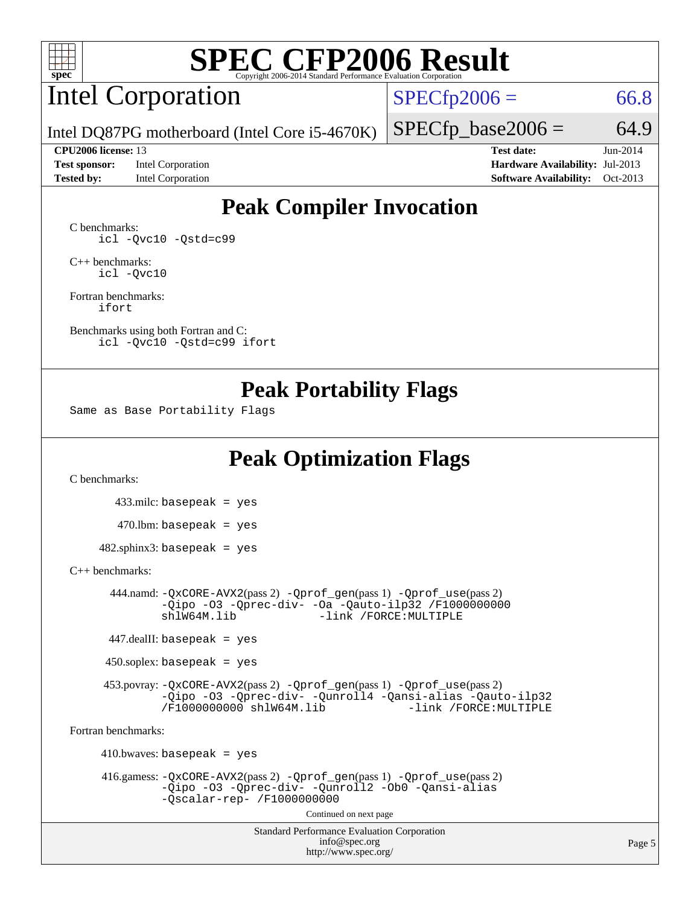

# Intel Corporation

 $SPECTp2006 = 66.8$ 

Intel DQ87PG motherboard (Intel Core i5-4670K)

**[Tested by:](http://www.spec.org/auto/cpu2006/Docs/result-fields.html#Testedby)** Intel Corporation **[Software Availability:](http://www.spec.org/auto/cpu2006/Docs/result-fields.html#SoftwareAvailability)** Oct-2013

**[CPU2006 license:](http://www.spec.org/auto/cpu2006/Docs/result-fields.html#CPU2006license)** 13 **[Test date:](http://www.spec.org/auto/cpu2006/Docs/result-fields.html#Testdate)** Jun-2014 **[Test sponsor:](http://www.spec.org/auto/cpu2006/Docs/result-fields.html#Testsponsor)** Intel Corporation **[Hardware Availability:](http://www.spec.org/auto/cpu2006/Docs/result-fields.html#HardwareAvailability)** Jul-2013

 $SPECfp\_base2006 = 64.9$ 

## **[Peak Compiler Invocation](http://www.spec.org/auto/cpu2006/Docs/result-fields.html#PeakCompilerInvocation)**

[C benchmarks](http://www.spec.org/auto/cpu2006/Docs/result-fields.html#Cbenchmarks): [icl -Qvc10](http://www.spec.org/cpu2006/results/res2014q3/cpu2006-20140630-30126.flags.html#user_CCpeak_intel_icc_vc10_9607f3ecbcdf68042245f068e51b40c1) [-Qstd=c99](http://www.spec.org/cpu2006/results/res2014q3/cpu2006-20140630-30126.flags.html#user_CCpeak_intel_compiler_c99_mode_1a3d110e3041b3ad4466830521bdad2a)

[C++ benchmarks:](http://www.spec.org/auto/cpu2006/Docs/result-fields.html#CXXbenchmarks) [icl -Qvc10](http://www.spec.org/cpu2006/results/res2014q3/cpu2006-20140630-30126.flags.html#user_CXXpeak_intel_icc_vc10_9607f3ecbcdf68042245f068e51b40c1)

[Fortran benchmarks](http://www.spec.org/auto/cpu2006/Docs/result-fields.html#Fortranbenchmarks): [ifort](http://www.spec.org/cpu2006/results/res2014q3/cpu2006-20140630-30126.flags.html#user_FCpeak_intel_ifort_8a5e5e06b19a251bdeaf8fdab5d62f20)

[Benchmarks using both Fortran and C](http://www.spec.org/auto/cpu2006/Docs/result-fields.html#BenchmarksusingbothFortranandC): [icl -Qvc10](http://www.spec.org/cpu2006/results/res2014q3/cpu2006-20140630-30126.flags.html#user_CC_FCpeak_intel_icc_vc10_9607f3ecbcdf68042245f068e51b40c1) [-Qstd=c99](http://www.spec.org/cpu2006/results/res2014q3/cpu2006-20140630-30126.flags.html#user_CC_FCpeak_intel_compiler_c99_mode_1a3d110e3041b3ad4466830521bdad2a) [ifort](http://www.spec.org/cpu2006/results/res2014q3/cpu2006-20140630-30126.flags.html#user_CC_FCpeak_intel_ifort_8a5e5e06b19a251bdeaf8fdab5d62f20)

### **[Peak Portability Flags](http://www.spec.org/auto/cpu2006/Docs/result-fields.html#PeakPortabilityFlags)**

Same as Base Portability Flags

## **[Peak Optimization Flags](http://www.spec.org/auto/cpu2006/Docs/result-fields.html#PeakOptimizationFlags)**

[C benchmarks](http://www.spec.org/auto/cpu2006/Docs/result-fields.html#Cbenchmarks):

 433.milc: basepeak = yes  $470.1$ bm: basepeak = yes

 $482$ .sphinx3: basepeak = yes

#### [C++ benchmarks:](http://www.spec.org/auto/cpu2006/Docs/result-fields.html#CXXbenchmarks)

 444.namd: [-QxCORE-AVX2](http://www.spec.org/cpu2006/results/res2014q3/cpu2006-20140630-30126.flags.html#user_peakPASS2_CXXFLAGSPASS2_LDFLAGS444_namd_f-QxAVX2_f98716b5f9e905f99c943c56f21bf430)(pass 2) [-Qprof\\_gen](http://www.spec.org/cpu2006/results/res2014q3/cpu2006-20140630-30126.flags.html#user_peakPASS1_CXXFLAGSPASS1_LDFLAGS444_namd_Qprof_gen)(pass 1) [-Qprof\\_use](http://www.spec.org/cpu2006/results/res2014q3/cpu2006-20140630-30126.flags.html#user_peakPASS2_CXXFLAGSPASS2_LDFLAGS444_namd_Qprof_use)(pass 2) [-Qipo](http://www.spec.org/cpu2006/results/res2014q3/cpu2006-20140630-30126.flags.html#user_peakOPTIMIZE444_namd_f-Qipo) [-O3](http://www.spec.org/cpu2006/results/res2014q3/cpu2006-20140630-30126.flags.html#user_peakOPTIMIZE444_namd_f-O3) [-Qprec-div-](http://www.spec.org/cpu2006/results/res2014q3/cpu2006-20140630-30126.flags.html#user_peakOPTIMIZE444_namd_f-Qprec-div-) [-Oa](http://www.spec.org/cpu2006/results/res2014q3/cpu2006-20140630-30126.flags.html#user_peakOPTIMIZE444_namd_f-Oa) [-Qauto-ilp32](http://www.spec.org/cpu2006/results/res2014q3/cpu2006-20140630-30126.flags.html#user_peakCXXOPTIMIZE444_namd_f-Qauto-ilp32) [/F1000000000](http://www.spec.org/cpu2006/results/res2014q3/cpu2006-20140630-30126.flags.html#user_peakEXTRA_LDFLAGS444_namd_set_stack_space_25d7749c1988d91b7f93afbc0ec53727)0<br>shlW64M.lib -link /FORCE:MULTIPLE -link /FORCE: MULTIPLE

447.dealII: basepeak = yes

 $450$ .soplex: basepeak = yes

 453.povray: [-QxCORE-AVX2](http://www.spec.org/cpu2006/results/res2014q3/cpu2006-20140630-30126.flags.html#user_peakPASS2_CXXFLAGSPASS2_LDFLAGS453_povray_f-QxAVX2_f98716b5f9e905f99c943c56f21bf430)(pass 2) [-Qprof\\_gen](http://www.spec.org/cpu2006/results/res2014q3/cpu2006-20140630-30126.flags.html#user_peakPASS1_CXXFLAGSPASS1_LDFLAGS453_povray_Qprof_gen)(pass 1) [-Qprof\\_use](http://www.spec.org/cpu2006/results/res2014q3/cpu2006-20140630-30126.flags.html#user_peakPASS2_CXXFLAGSPASS2_LDFLAGS453_povray_Qprof_use)(pass 2) [-Qipo](http://www.spec.org/cpu2006/results/res2014q3/cpu2006-20140630-30126.flags.html#user_peakOPTIMIZE453_povray_f-Qipo) [-O3](http://www.spec.org/cpu2006/results/res2014q3/cpu2006-20140630-30126.flags.html#user_peakOPTIMIZE453_povray_f-O3) [-Qprec-div-](http://www.spec.org/cpu2006/results/res2014q3/cpu2006-20140630-30126.flags.html#user_peakOPTIMIZE453_povray_f-Qprec-div-) [-Qunroll4](http://www.spec.org/cpu2006/results/res2014q3/cpu2006-20140630-30126.flags.html#user_peakOPTIMIZE453_povray_f-Qunroll_013b1c0ea3aa84ef2c65e488bcc3d968) [-Qansi-alias](http://www.spec.org/cpu2006/results/res2014q3/cpu2006-20140630-30126.flags.html#user_peakOPTIMIZE453_povray_f-Qansi-alias) [-Qauto-ilp32](http://www.spec.org/cpu2006/results/res2014q3/cpu2006-20140630-30126.flags.html#user_peakCXXOPTIMIZE453_povray_f-Qauto-ilp32) [/F1000000000](http://www.spec.org/cpu2006/results/res2014q3/cpu2006-20140630-30126.flags.html#user_peakEXTRA_LDFLAGS453_povray_set_stack_space_25d7749c1988d91b7f93afbc0ec53727) [shlW64M.lib](http://www.spec.org/cpu2006/results/res2014q3/cpu2006-20140630-30126.flags.html#user_peakEXTRA_LIBS453_povray_SmartHeap64_c4f7f76711bdf8c0633a5c1edf6e5396)

[Fortran benchmarks](http://www.spec.org/auto/cpu2006/Docs/result-fields.html#Fortranbenchmarks):

 $410.bwaves: basepeak = yes$  416.gamess: [-QxCORE-AVX2](http://www.spec.org/cpu2006/results/res2014q3/cpu2006-20140630-30126.flags.html#user_peakPASS2_FFLAGSPASS2_LDFLAGS416_gamess_f-QxAVX2_f98716b5f9e905f99c943c56f21bf430)(pass 2) [-Qprof\\_gen](http://www.spec.org/cpu2006/results/res2014q3/cpu2006-20140630-30126.flags.html#user_peakPASS1_FFLAGSPASS1_LDFLAGS416_gamess_Qprof_gen)(pass 1) [-Qprof\\_use](http://www.spec.org/cpu2006/results/res2014q3/cpu2006-20140630-30126.flags.html#user_peakPASS2_FFLAGSPASS2_LDFLAGS416_gamess_Qprof_use)(pass 2) [-Qipo](http://www.spec.org/cpu2006/results/res2014q3/cpu2006-20140630-30126.flags.html#user_peakOPTIMIZE416_gamess_f-Qipo) [-O3](http://www.spec.org/cpu2006/results/res2014q3/cpu2006-20140630-30126.flags.html#user_peakOPTIMIZE416_gamess_f-O3) [-Qprec-div-](http://www.spec.org/cpu2006/results/res2014q3/cpu2006-20140630-30126.flags.html#user_peakOPTIMIZE416_gamess_f-Qprec-div-) [-Qunroll2](http://www.spec.org/cpu2006/results/res2014q3/cpu2006-20140630-30126.flags.html#user_peakOPTIMIZE416_gamess_f-Qunroll_1d9456aa650e77fc2a0cf43cef3fa08c) [-Ob0](http://www.spec.org/cpu2006/results/res2014q3/cpu2006-20140630-30126.flags.html#user_peakOPTIMIZE416_gamess_f-Ob_n_fbe6f6428adb7d4b74b1e99bb2444c2d) [-Qansi-alias](http://www.spec.org/cpu2006/results/res2014q3/cpu2006-20140630-30126.flags.html#user_peakOPTIMIZE416_gamess_f-Qansi-alias) [-Qscalar-rep-](http://www.spec.org/cpu2006/results/res2014q3/cpu2006-20140630-30126.flags.html#user_peakOPTIMIZE416_gamess_f-Qscalar-rep_02cb9e11a5340d80ab3062d84e5dfb2e) [/F1000000000](http://www.spec.org/cpu2006/results/res2014q3/cpu2006-20140630-30126.flags.html#user_peakEXTRA_LDFLAGS416_gamess_set_stack_space_25d7749c1988d91b7f93afbc0ec53727) Continued on next page